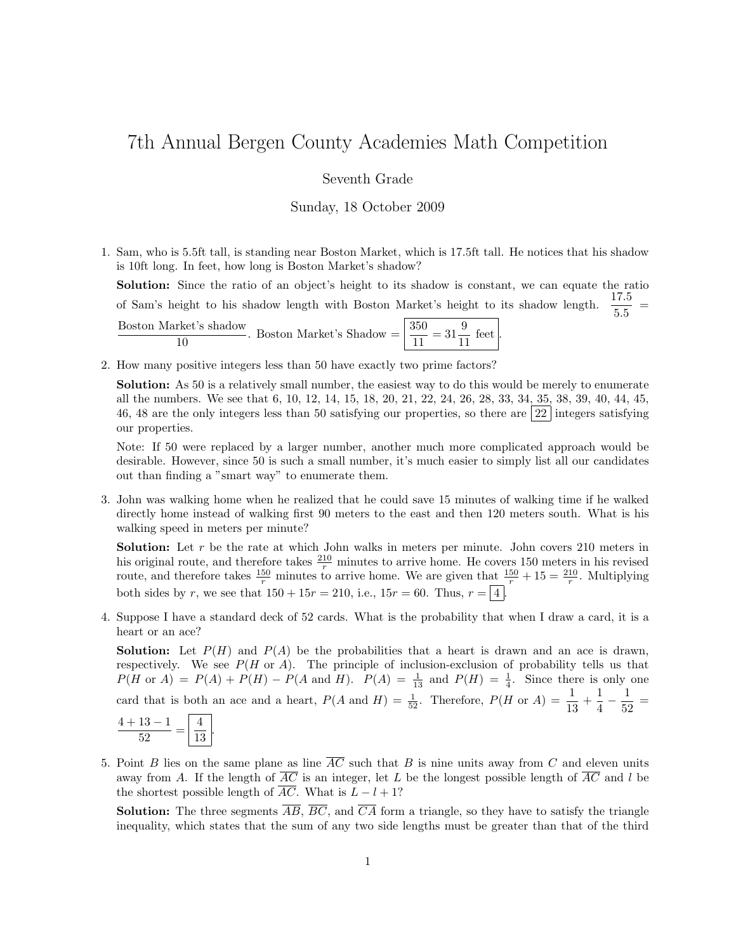## 7th Annual Bergen County Academies Math Competition

## Seventh Grade

Sunday, 18 October 2009

1. Sam, who is 5.5ft tall, is standing near Boston Market, which is 17.5ft tall. He notices that his shadow is 10ft long. In feet, how long is Boston Market's shadow?

Solution: Since the ratio of an object's height to its shadow is constant, we can equate the ratio of Sam's height to his shadow length with Boston Market's height to its shadow length.  $\frac{17.5}{5.5}$  = Boston Market's shadow rket's shadow  $\frac{1}{10}$ . Boston Market's Shadow  $=$   $\frac{350}{11} = 31 \frac{9}{11}$  $\frac{0}{11}$  feet |.

2. How many positive integers less than 50 have exactly two prime factors?

Solution: As 50 is a relatively small number, the easiest way to do this would be merely to enumerate all the numbers. We see that 6, 10, 12, 14, 15, 18, 20, 21, 22, 24, 26, 28, 33, 34, 35, 38, 39, 40, 44, 45, 46, 48 are the only integers less than 50 satisfying our properties, so there are 22 integers satisfying our properties.

Note: If 50 were replaced by a larger number, another much more complicated approach would be desirable. However, since 50 is such a small number, it's much easier to simply list all our candidates out than finding a "smart way" to enumerate them.

3. John was walking home when he realized that he could save 15 minutes of walking time if he walked directly home instead of walking first 90 meters to the east and then 120 meters south. What is his walking speed in meters per minute?

**Solution:** Let  $r$  be the rate at which John walks in meters per minute. John covers 210 meters in his original route, and therefore takes  $\frac{210}{r}$  minutes to arrive home. He covers 150 meters in his revised route, and therefore takes  $\frac{150}{r}$  minutes to arrive home. We are given that  $\frac{150}{r} + 15 = \frac{210}{r}$ . Multiplying both sides by r, we see that  $150 + 15r = 210$ , i.e.,  $15r = 60$ . Thus,  $r = |4|$ .

4. Suppose I have a standard deck of 52 cards. What is the probability that when I draw a card, it is a heart or an ace?

**Solution:** Let  $P(H)$  and  $P(A)$  be the probabilities that a heart is drawn and an ace is drawn, respectively. We see  $P(H \text{ or } A)$ . The principle of inclusion-exclusion of probability tells us that  $P(H \text{ or } A) = P(A) + P(H) - P(A \text{ and } H)$ .  $P(A) = \frac{1}{13}$  and  $P(H) = \frac{1}{4}$ . Since there is only one card that is both an ace and a heart,  $P(A \text{ and } H) = \frac{1}{52}$ . Therefore,  $P(H \text{ or } A) = \frac{1}{13} + \frac{1}{4}$  $\frac{1}{4} - \frac{1}{52}$  $rac{1}{52}$  =

5. Point B lies on the same plane as line  $\overline{AC}$  such that B is nine units away from C and eleven units away from A. If the length of  $\overline{AC}$  is an integer, let L be the longest possible length of  $\overline{AC}$  and l be the shortest possible length of  $\overline{AC}$ . What is  $L - l + 1$ ?

**Solution:** The three segments  $\overline{AB}$ ,  $\overline{BC}$ , and  $\overline{CA}$  form a triangle, so they have to satisfy the triangle inequality, which states that the sum of any two side lengths must be greater than that of the third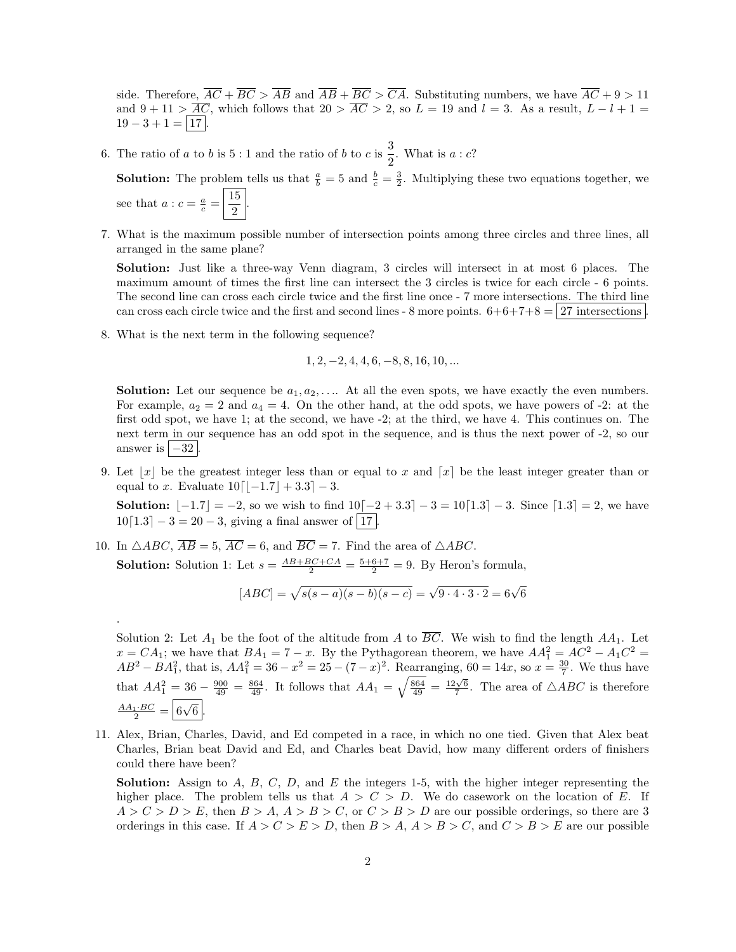side. Therefore,  $\overline{AC} + \overline{BC} > \overline{AB}$  and  $\overline{AB} + \overline{BC} > \overline{CA}$ . Substituting numbers, we have  $\overline{AC} + 9 > 11$ and  $9 + 11 > \overline{AC}$ , which follows that  $20 > \overline{AC} > 2$ , so  $L = 19$  and  $l = 3$ . As a result,  $L - l + 1 =$  $19 - 3 + 1 = |17|$ .

6. The ratio of a to b is 5 : 1 and the ratio of b to c is  $\frac{3}{2}$  $\frac{3}{2}$ . What is  $a : c$ ?

**Solution:** The problem tells us that  $\frac{a}{b} = 5$  and  $\frac{b}{c} = \frac{3}{2}$ . Multiplying these two equations together, we see that  $a : c = \frac{a}{c} = \frac{15}{2}$  $\frac{1}{2}$ 

7. What is the maximum possible number of intersection points among three circles and three lines, all arranged in the same plane?

Solution: Just like a three-way Venn diagram, 3 circles will intersect in at most 6 places. The maximum amount of times the first line can intersect the 3 circles is twice for each circle - 6 points. The second line can cross each circle twice and the first line once - 7 more intersections. The third line can cross each circle twice and the first and second lines - 8 more points.  $6+6+7+8 = 27$  intersections.

8. What is the next term in the following sequence?

.

$$
1, 2, -2, 4, 4, 6, -8, 8, 16, 10, \dots
$$

**Solution:** Let our sequence be  $a_1, a_2, \ldots$ . At all the even spots, we have exactly the even numbers. For example,  $a_2 = 2$  and  $a_4 = 4$ . On the other hand, at the odd spots, we have powers of -2: at the first odd spot, we have 1; at the second, we have -2; at the third, we have 4. This continues on. The next term in our sequence has an odd spot in the sequence, and is thus the next power of -2, so our answer is  $|-32|$ .

9. Let  $|x|$  be the greatest integer less than or equal to x and  $[x]$  be the least integer greater than or equal to x. Evaluate  $10[-1.7] + 3.3-3$ .

Solution:  $[-1.7] = -2$ , so we wish to find  $10[-2 + 3.3] - 3 = 10[1.3] - 3$ . Since  $[1.3] = 2$ , we have  $10[1.3] - 3 = 20 - 3$ , giving a final answer of |17

10. In  $\triangle ABC$ ,  $\overline{AB} = 5$ ,  $\overline{AC} = 6$ , and  $\overline{BC} = 7$ . Find the area of  $\triangle ABC$ . **Solution:** Solution 1: Let  $s = \frac{AB + BC + CA}{2} = \frac{5+6+7}{2} = 9$ . By Heron's formula,

$$
[ABC] = \sqrt{s(s-a)(s-b)(s-c)} = \sqrt{9 \cdot 4 \cdot 3 \cdot 2} = 6\sqrt{6}
$$

Solution 2: Let  $A_1$  be the foot of the altitude from A to  $\overline{BC}$ . We wish to find the length  $AA_1$ . Let  $x = CA_1$ ; we have that  $BA_1 = 7 - x$ . By the Pythagorean theorem, we have  $AA_1^2 = AC^2 - A_1C^2 =$  $AB^2 - BA_1^2$ , that is,  $AA_1^2 = 36 - x^2 = 25 - (7 - x)^2$ . Rearranging,  $60 = 14x$ , so  $x = \frac{30}{7}$ . We thus have that  $AA_1^2 = 36 - \frac{900}{49} = \frac{864}{49}$ . It follows that  $AA_1 = \sqrt{\frac{864}{49}} = \frac{12\sqrt{6}}{7}$ . The area of  $\triangle ABC$  is therefore  $\frac{AA_1 \cdot BC}{2} = \boxed{6}$ √  $6<sup>2</sup>$ 

11. Alex, Brian, Charles, David, and Ed competed in a race, in which no one tied. Given that Alex beat Charles, Brian beat David and Ed, and Charles beat David, how many different orders of finishers could there have been?

**Solution:** Assign to  $A$ ,  $B$ ,  $C$ ,  $D$ , and  $E$  the integers 1-5, with the higher integer representing the higher place. The problem tells us that  $A > C > D$ . We do casework on the location of E. If  $A > C > D > E$ , then  $B > A$ ,  $A > B > C$ , or  $C > B > D$  are our possible orderings, so there are 3 orderings in this case. If  $A > C > E > D$ , then  $B > A$ ,  $A > B > C$ , and  $C > B > E$  are our possible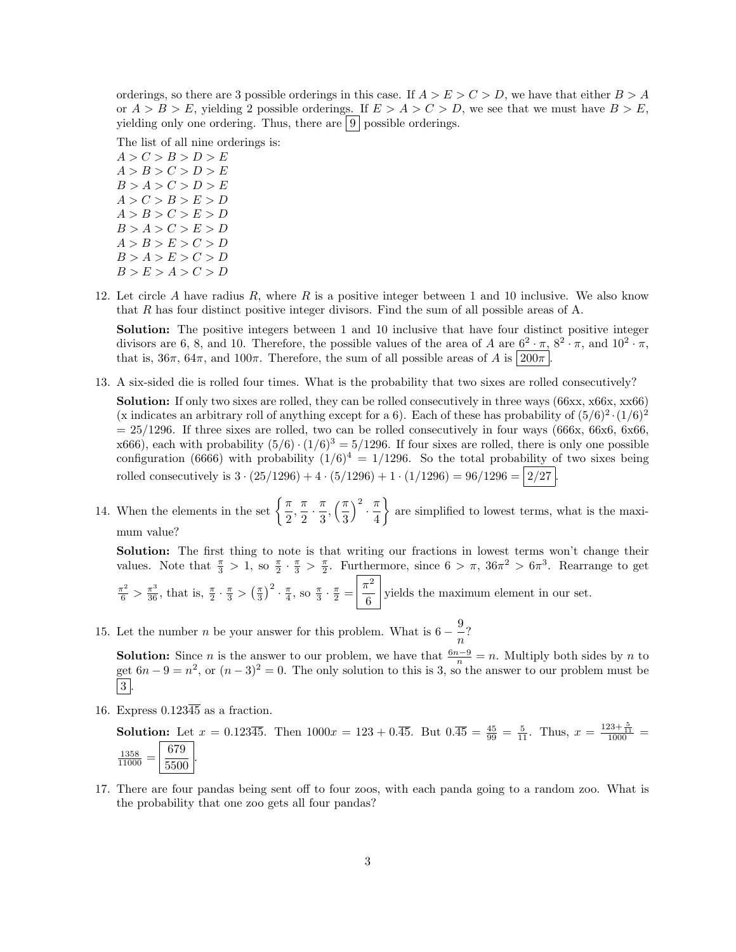orderings, so there are 3 possible orderings in this case. If  $A > E > C > D$ , we have that either  $B > A$ or  $A > B > E$ , yielding 2 possible orderings. If  $E > A > C > D$ , we see that we must have  $B > E$ , yielding only one ordering. Thus, there are  $|9|$  possible orderings.

The list of all nine orderings is:

 $A > C > B > D > E$  $A > B > C > D > E$  $B > A > C > D > E$  $A > C > B > E > D$  $A > B > C > E > D$  $B > A > C > E > D$  $A > B > E > C > D$  $B > A > E > C > D$  $B > E > A > C > D$ 

12. Let circle A have radius R, where R is a positive integer between 1 and 10 inclusive. We also know that R has four distinct positive integer divisors. Find the sum of all possible areas of A.

Solution: The positive integers between 1 and 10 inclusive that have four distinct positive integer divisors are 6, 8, and 10. Therefore, the possible values of the area of A are  $6^2 \cdot \pi$ ,  $8^2 \cdot \pi$ , and  $10^2 \cdot \pi$ , that is,  $36\pi$ ,  $64\pi$ , and  $100\pi$ . Therefore, the sum of all possible areas of A is  $200\pi$ .

13. A six-sided die is rolled four times. What is the probability that two sixes are rolled consecutively?

Solution: If only two sixes are rolled, they can be rolled consecutively in three ways (66xx, x66x, xx66) (x indicates an arbitrary roll of anything except for a 6). Each of these has probability of  $(5/6)^2 \cdot (1/6)^2$  $= 25/1296$ . If three sixes are rolled, two can be rolled consecutively in four ways (666x, 66x6, 6x66, x666), each with probability  $(5/6) \cdot (1/6)^3 = 5/1296$ . If four sixes are rolled, there is only one possible configuration (6666) with probability  $(1/6)^4 = 1/1296$ . So the total probability of two sixes being rolled consecutively is  $3 \cdot (25/1296) + 4 \cdot (5/1296) + 1 \cdot (1/1296) = 96/1296 = |2/27|$ 

14. When the elements in the set  $\left\{\frac{\pi}{2}\right\}$  $\frac{\pi}{2}, \frac{\pi}{2}$  $\frac{\pi}{2} \cdot \frac{\pi}{3}$  $\frac{\pi}{3}, \left(\frac{\pi}{3}\right)$ 3  $\Big)^2 \cdot \frac{\pi}{4}$ 4 are simplified to lowest terms, what is the maximum value?

Solution: The first thing to note is that writing our fractions in lowest terms won't change their values. Note that  $\frac{\pi}{3} > 1$ , so  $\frac{\pi}{2} \cdot \frac{\pi}{3} > \frac{\pi}{2}$ . Furthermore, since  $6 > \pi$ ,  $36\pi^2 > 6\pi^3$ . Rearrange to get

 $\frac{\pi^2}{6} > \frac{\pi^3}{36}$ , that is,  $\frac{\pi}{2} \cdot \frac{\pi}{3} > (\frac{\pi}{3})^2 \cdot \frac{\pi}{4}$ , so  $\frac{\pi}{3} \cdot \frac{\pi}{2} = \frac{\pi^2}{6}$  $\frac{1}{6}$  yields the maximum element in our set.

15. Let the number *n* be your answer for this problem. What is  $6 - \frac{9}{5}$  $\frac{5}{n}$ ?

**Solution:** Since *n* is the answer to our problem, we have that  $\frac{6n-9}{n} = n$ . Multiply both sides by *n* to get  $6n - 9 = n^2$ , or  $(n - 3)^2 = 0$ . The only solution to this is 3, so the answer to our problem must be  $\vert 3 \vert$ 

16. Express  $0.123\overline{45}$  as a fraction.

**Solution:** Let  $x = 0.123\overline{45}$ . Then  $1000x = 123 + 0.\overline{45}$ . But  $0.\overline{45} = \frac{45}{99} = \frac{5}{11}$ . Thus,  $x = \frac{123 + \frac{5}{11}}{1000}$  $\frac{1358}{11000} = \frac{679}{5500}$  $\frac{0.6}{5500}$ .

17. There are four pandas being sent off to four zoos, with each panda going to a random zoo. What is the probability that one zoo gets all four pandas?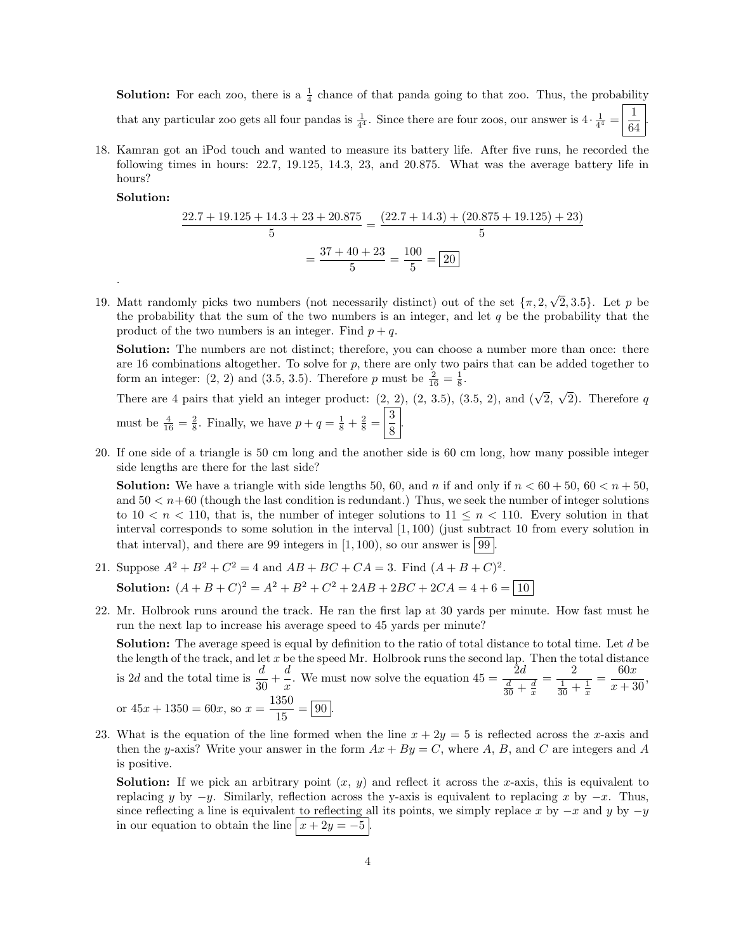**Solution:** For each zoo, there is a  $\frac{1}{4}$  chance of that panda going to that zoo. Thus, the probability that any particular zoo gets all four pandas is  $\frac{1}{4^4}$ . Since there are four zoos, our answer is  $4 \cdot \frac{1}{4^4} = \frac{1}{64}$ 64 .

18. Kamran got an iPod touch and wanted to measure its battery life. After five runs, he recorded the following times in hours: 22.7, 19.125, 14.3, 23, and 20.875. What was the average battery life in hours?

Solution:

.

$$
\frac{22.7 + 19.125 + 14.3 + 23 + 20.875}{5} = \frac{(22.7 + 14.3) + (20.875 + 19.125) + 23)}{5}
$$

$$
= \frac{37 + 40 + 23}{5} = \frac{100}{5} = 20
$$

19. Matt randomly picks two numbers (not necessarily distinct) out of the set  $\{\pi, 2,$ √  ${2, 3.5}$ . Let p be the probability that the sum of the two numbers is an integer, and let  $q$  be the probability that the product of the two numbers is an integer. Find  $p + q$ .

Solution: The numbers are not distinct; therefore, you can choose a number more than once: there are 16 combinations altogether. To solve for  $p$ , there are only two pairs that can be added together to form an integer: (2, 2) and (3.5, 3.5). Therefore p must be  $\frac{2}{16} = \frac{1}{8}$ .

There are 4 pairs that yield an integer product:  $(2, 2)$ ,  $(2, 3.5)$ ,  $(3.5, 2)$ , and  $(\sqrt{2}, \sqrt{2})$ . Therefore q must be  $\frac{4}{16} = \frac{2}{8}$ . Finally, we have  $p + q = \frac{1}{8} + \frac{2}{8} = \frac{3}{8}$  $\frac{8}{8}$ 

20. If one side of a triangle is 50 cm long and the another side is 60 cm long, how many possible integer side lengths are there for the last side?

**Solution:** We have a triangle with side lengths 50, 60, and n if and only if  $n < 60 + 50$ ,  $60 < n + 50$ . and  $50 < n+60$  (though the last condition is redundant.) Thus, we seek the number of integer solutions to  $10 < n < 110$ , that is, the number of integer solutions to  $11 \le n < 110$ . Every solution in that interval corresponds to some solution in the interval  $(1, 100)$  (just subtract 10 from every solution in that interval), and there are 99 integers in  $(1, 100)$ , so our answer is 99

- 21. Suppose  $A^2 + B^2 + C^2 = 4$  and  $AB + BC + CA = 3$ . Find  $(A + B + C)^2$ . **Solution:**  $(A + B + C)^2 = A^2 + B^2 + C^2 + 2AB + 2BC + 2CA = 4 + 6 = |10$
- 22. Mr. Holbrook runs around the track. He ran the first lap at 30 yards per minute. How fast must he run the next lap to increase his average speed to 45 yards per minute?

Solution: The average speed is equal by definition to the ratio of total distance to total time. Let d be the length of the track, and let  $x$  be the speed Mr. Holbrook runs the second lap. Then the total distance is 2*d* and the total time is  $\frac{d}{30} + \frac{d}{x}$  $\frac{d}{dx}$ . We must now solve the equation  $45 = \frac{2d}{\frac{d}{30} + \frac{d}{x}}$  $=\frac{2}{1}$  $\frac{1}{30} + \frac{1}{x}$  $=\frac{60x}{10}$  $\frac{36x}{x+30}$ , or  $45x + 1350 = 60x$ , so  $x = \frac{1350}{15}$  $\frac{388}{15} = 90.$ 

23. What is the equation of the line formed when the line  $x + 2y = 5$  is reflected across the x-axis and then the y-axis? Write your answer in the form  $Ax + By = C$ , where A, B, and C are integers and A is positive.

**Solution:** If we pick an arbitrary point  $(x, y)$  and reflect it across the x-axis, this is equivalent to replacing y by  $-y$ . Similarly, reflection across the y-axis is equivalent to replacing x by  $-x$ . Thus, since reflecting a line is equivalent to reflecting all its points, we simply replace x by  $-x$  and y by  $-y$ in our equation to obtain the line  $x + 2y = -5$ .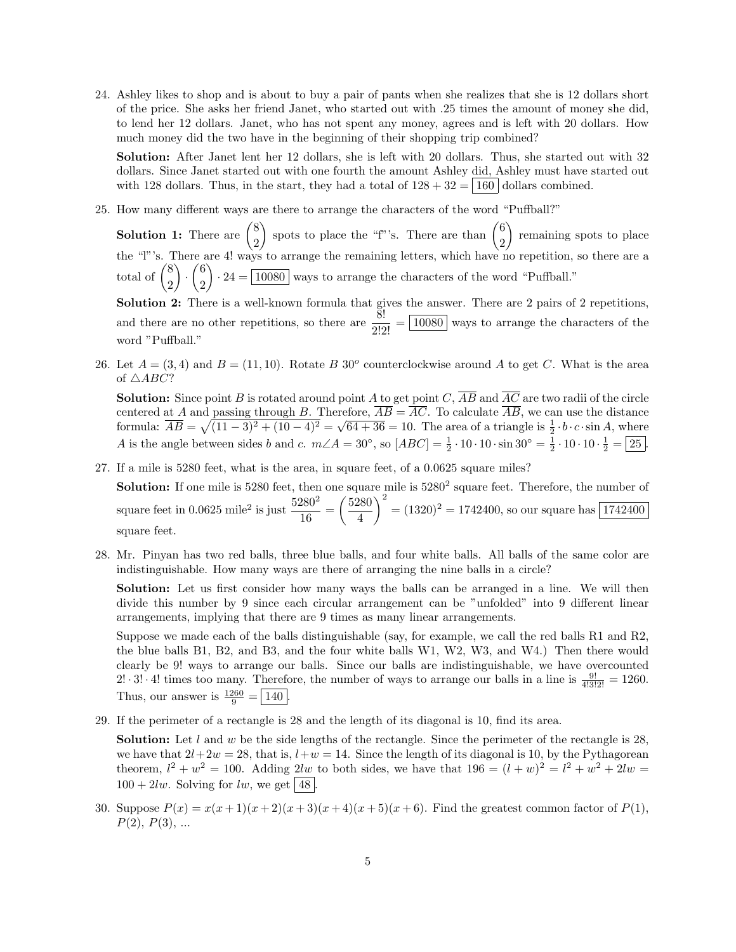24. Ashley likes to shop and is about to buy a pair of pants when she realizes that she is 12 dollars short of the price. She asks her friend Janet, who started out with .25 times the amount of money she did, to lend her 12 dollars. Janet, who has not spent any money, agrees and is left with 20 dollars. How much money did the two have in the beginning of their shopping trip combined?

Solution: After Janet lent her 12 dollars, she is left with 20 dollars. Thus, she started out with 32 dollars. Since Janet started out with one fourth the amount Ashley did, Ashley must have started out with 128 dollars. Thus, in the start, they had a total of  $128 + 32 = |160|$  dollars combined.

25. How many different ways are there to arrange the characters of the word "Puffball?"

**Solution 1:** There are  $\binom{8}{8}$ 2 spots to place the "f"'s. There are than  $\binom{6}{8}$ 2 remaining spots to place the "l"'s. There are 4! ways to arrange the remaining letters, which have no repetition, so there are a total of  $\binom{8}{8}$ 2  $\Big) \cdot \Big( \frac{6}{8}$ 2  $\cdot$  24 =  $\boxed{10080}$  ways to arrange the characters of the word "Puffball." Solution 2: There is a well-known formula that gives the answer. There are 2 pairs of 2 repetitions, and there are no other repetitions, so there are  $\frac{8!}{2!2!} = \boxed{10080}$  ways to arrange the characters of the

26. Let  $A = (3, 4)$  and  $B = (11, 10)$ . Rotate B 30<sup>o</sup> counterclockwise around A to get C. What is the area of  $\triangle ABC$ ?

**Solution:** Since point B is rotated around point A to get point C,  $\overline{AB}$  and  $\overline{AC}$  are two radii of the circle centered at A and passing through B. Therefore,  $AB = AC$ . To calculate AB, we can use the distance centered at A and passing through B. Therefore,  $AD = AC$ . To calculate AB, we can use the distance<br>formula:  $\overline{AB} = \sqrt{(11-3)^2 + (10-4)^2} = \sqrt{64+36} = 10$ . The area of a triangle is  $\frac{1}{2} \cdot b \cdot c \cdot \sin A$ , where A is the angle between sides b and c.  $m\angle A = 30^\circ$ , so  $[ABC] = \frac{1}{2} \cdot 10 \cdot 10 \cdot \sin 30^\circ = \frac{1}{2} \cdot 10 \cdot 10 \cdot \frac{1}{2} = \boxed{25}$ .

27. If a mile is 5280 feet, what is the area, in square feet, of a 0.0625 square miles?

word "Puffball."

**Solution:** If one mile is  $5280$  feet, then one square mile is  $5280<sup>2</sup>$  square feet. Therefore, the number of square feet in 0.0625 mile<sup>2</sup> is just  $\frac{5280^2}{10}$  $\frac{280^2}{16} = \left(\frac{5280}{4}\right)$ 4  $\bigg( \frac{2}{2} \bigg) = (1320)^2 = 1742400$ , so our square has  $\bigg( \frac{1742400}{2} \bigg)$ square feet.

28. Mr. Pinyan has two red balls, three blue balls, and four white balls. All balls of the same color are indistinguishable. How many ways are there of arranging the nine balls in a circle?

Solution: Let us first consider how many ways the balls can be arranged in a line. We will then divide this number by 9 since each circular arrangement can be "unfolded" into 9 different linear arrangements, implying that there are 9 times as many linear arrangements.

Suppose we made each of the balls distinguishable (say, for example, we call the red balls R1 and R2, the blue balls B1, B2, and B3, and the four white balls W1, W2, W3, and W4.) Then there would clearly be 9! ways to arrange our balls. Since our balls are indistinguishable, we have overcounted 2!  $\cdot$  3!  $\cdot$  4! times too many. Therefore, the number of ways to arrange our balls in a line is  $\frac{9!}{4!3!2!} = 1260$ . Thus, our answer is  $\frac{1260}{9} = 140$ .

29. If the perimeter of a rectangle is 28 and the length of its diagonal is 10, find its area.

**Solution:** Let l and w be the side lengths of the rectangle. Since the perimeter of the rectangle is 28, we have that  $2l+2w = 28$ , that is,  $l+w = 14$ . Since the length of its diagonal is 10, by the Pythagorean theorem,  $l^2 + w^2 = 100$ . Adding  $2lw$  to both sides, we have that  $196 = (l+w)^2 = l^2 + w^2 + 2lw$  $100 + 2lw$ . Solving for lw, we get 48

30. Suppose  $P(x) = x(x+1)(x+2)(x+3)(x+4)(x+5)(x+6)$ . Find the greatest common factor of  $P(1)$ ,  $P(2), P(3), ...$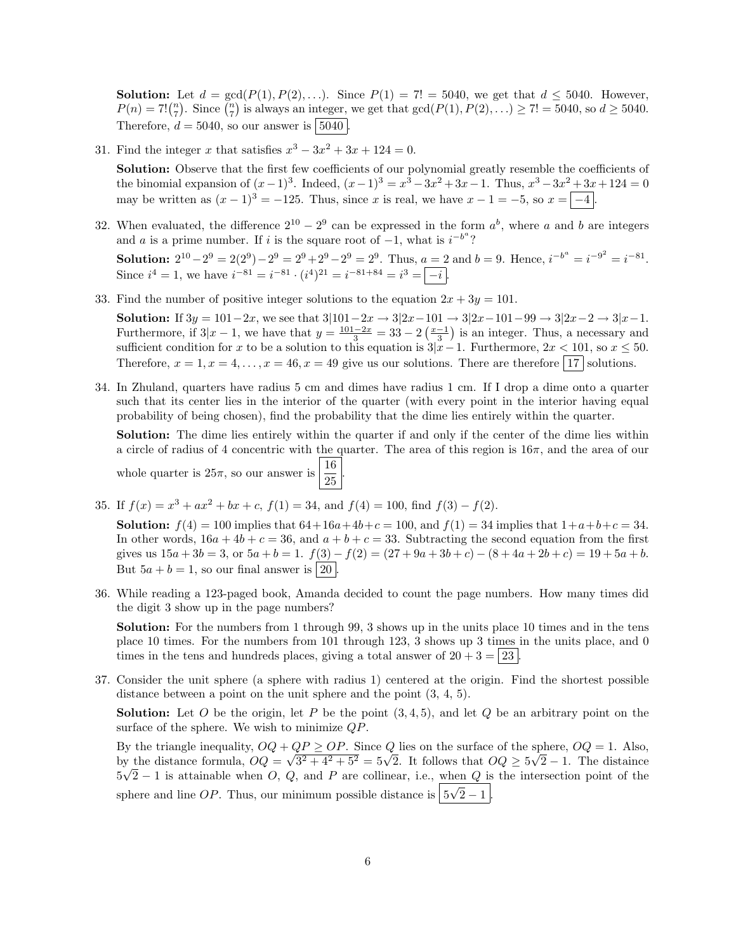**Solution:** Let  $d = \gcd(P(1), P(2), ...)$ . Since  $P(1) = 7! = 5040$ , we get that  $d \le 5040$ . However,  $P(n) = 7! {n \choose 7}$ . Since  $\binom{n}{7}$  is always an integer, we get that  $gcd(P(1), P(2), ...) \ge 7! = 5040$ , so  $d \ge 5040$ . Therefore,  $d = 5040$ , so our answer is  $\boxed{5040}$ 

31. Find the integer x that satisfies  $x^3 - 3x^2 + 3x + 124 = 0$ .

Solution: Observe that the first few coefficients of our polynomial greatly resemble the coefficients of the binomial expansion of  $(x-1)^3$ . Indeed,  $(x-1)^3 = x^3 - 3x^2 + 3x - 1$ . Thus,  $x^3 - 3x^2 + 3x + 124 = 0$ may be written as  $(x - 1)^3 = -125$ . Thus, since x is real, we have  $x - 1 = -5$ , so  $x = -4$ .

32. When evaluated, the difference  $2^{10} - 2^9$  can be expressed in the form  $a^b$ , where a and b are integers and a is a prime number. If i is the square root of  $-1$ , what is  $i^{-b^a}$ ?

**Solution:**  $2^{10} - 2^9 = 2(2^9) - 2^9 = 2^9 + 2^9 - 2^9 = 2^9$ . Thus,  $a = 2$  and  $b = 9$ . Hence,  $i^{-b^a} = i^{-9^2} = i^{-81}$ . Since  $i^4 = 1$ , we have  $i^{-81} = i^{-81} \cdot (i^4)^{21} = i^{-81+84} = i^3 = |-i|$ .

33. Find the number of positive integer solutions to the equation  $2x + 3y = 101$ .

**Solution:** If  $3y = 101-2x$ , we see that  $3|101-2x \to 3|2x-101 \to 3|2x-101-99 \to 3|2x-2 \to 3|x-1$ . Furthermore, if  $3|x-1$ , we have that  $y = \frac{101-2x}{3} = 33 - 2\left(\frac{x-1}{3}\right)$  is an integer. Thus, a necessary and sufficient condition for x to be a solution to this equation is  $3|x-1$ . Furthermore,  $2x < 101$ , so  $x \le 50$ . Therefore,  $x = 1, x = 4, \ldots, x = 46, x = 49$  give us our solutions. There are therefore 17 solutions.

34. In Zhuland, quarters have radius 5 cm and dimes have radius 1 cm. If I drop a dime onto a quarter such that its center lies in the interior of the quarter (with every point in the interior having equal probability of being chosen), find the probability that the dime lies entirely within the quarter.

Solution: The dime lies entirely within the quarter if and only if the center of the dime lies within a circle of radius of 4 concentric with the quarter. The area of this region is  $16\pi$ , and the area of our 16 .

whole quarter is 
$$
25\pi
$$
, so our answer is  $\frac{10}{25}$ 

35. If  $f(x) = x^3 + ax^2 + bx + c$ ,  $f(1) = 34$ , and  $f(4) = 100$ , find  $f(3) - f(2)$ .

**Solution:**  $f(4) = 100$  implies that  $64+16a+4b+c = 100$ , and  $f(1) = 34$  implies that  $1+a+b+c = 34$ . In other words,  $16a + 4b + c = 36$ , and  $a + b + c = 33$ . Subtracting the second equation from the first gives us  $15a + 3b = 3$ , or  $5a + b = 1$ .  $f(3) - f(2) = (27 + 9a + 3b + c) - (8 + 4a + 2b + c) = 19 + 5a + b$ . But  $5a + b = 1$ , so our final answer is  $\boxed{20}$ 

36. While reading a 123-paged book, Amanda decided to count the page numbers. How many times did the digit 3 show up in the page numbers?

Solution: For the numbers from 1 through 99, 3 shows up in the units place 10 times and in the tens place 10 times. For the numbers from 101 through 123, 3 shows up 3 times in the units place, and 0 times in the tens and hundreds places, giving a total answer of  $20 + 3 = 23$ .

37. Consider the unit sphere (a sphere with radius 1) centered at the origin. Find the shortest possible distance between a point on the unit sphere and the point  $(3, 4, 5)$ .

**Solution:** Let O be the origin, let P be the point  $(3, 4, 5)$ , and let Q be an arbitrary point on the surface of the sphere. We wish to minimize QP.

By the triangle inequality,  $OQ + QP \ge OP$ . Since Q lies on the surface of the sphere,  $OQ = 1$ . Also, By the triangle inequality,  $OQ + QP \ge OP$ . Since Q lies on the surface of the sphere,  $OQ = 1$ . Also,<br>by the distance formula,  $OQ = \sqrt{3^2 + 4^2 + 5^2} = 5\sqrt{2}$ . It follows that  $OQ \ge 5\sqrt{2} - 1$ . The distaince  $5\sqrt{2}-1$  is attainable when O, Q, and P are collinear, i.e., when Q is the intersection point of the sphere and line  $OP$ . Thus, our minimum possible distance is  $5$  $\frac{1}{\sqrt{2}}$  $2 - 1$  .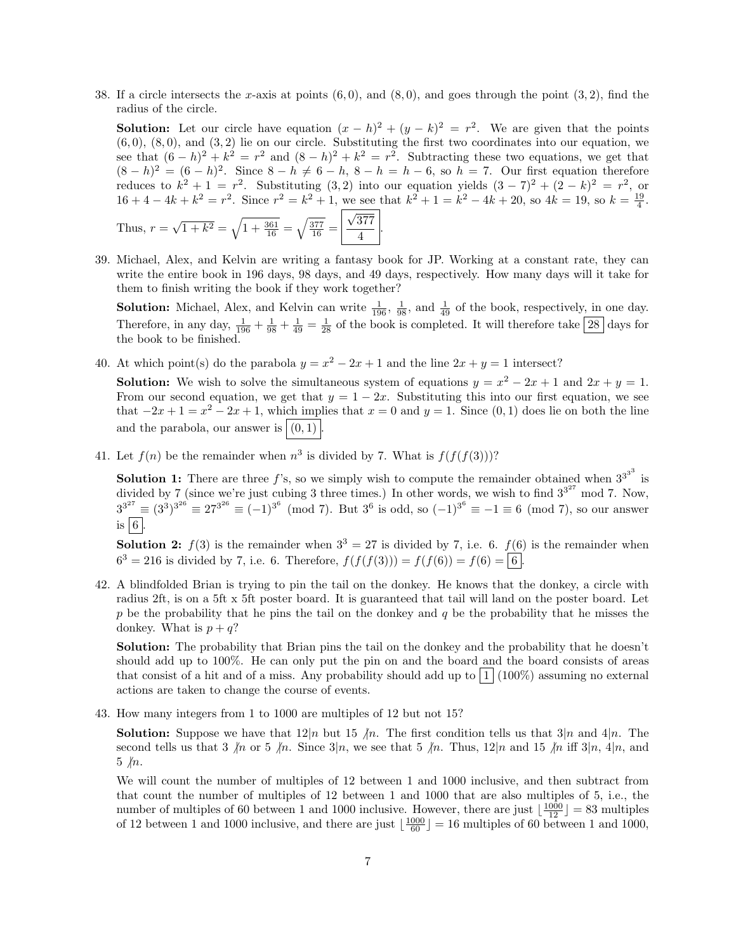38. If a circle intersects the x-axis at points  $(6, 0)$ , and  $(8, 0)$ , and goes through the point  $(3, 2)$ , find the radius of the circle.

**Solution:** Let our circle have equation  $(x - h)^2 + (y - k)^2 = r^2$ . We are given that the points  $(6, 0)$ ,  $(8, 0)$ , and  $(3, 2)$  lie on our circle. Substituting the first two coordinates into our equation, we see that  $(6-h)^2 + k^2 = r^2$  and  $(8-h)^2 + k^2 = r^2$ . Subtracting these two equations, we get that  $(8-h)^2 = (6-h)^2$ . Since  $8-h \neq 6-h$ ,  $8-h = h-6$ , so  $h = 7$ . Our first equation therefore reduces to  $k^2 + 1 = r^2$ . Substituting  $(3, 2)$  into our equation yields  $(3 - 7)^2 + (2 - k)^2 = r^2$ , or  $16 + 4 - 4k + k^2 = r^2$ . Since  $r^2 = k^2 + 1$ , we see that  $k^2 + 1 = k^2 - 4k + 20$ , so  $4k = 19$ , so  $k = \frac{19}{4}$ .

.

Thus, 
$$
r = \sqrt{1 + k^2} = \sqrt{1 + \frac{361}{16}} = \sqrt{\frac{377}{16}} = \boxed{\frac{\sqrt{377}}{4}}
$$

39. Michael, Alex, and Kelvin are writing a fantasy book for JP. Working at a constant rate, they can write the entire book in 196 days, 98 days, and 49 days, respectively. How many days will it take for them to finish writing the book if they work together?

**Solution:** Michael, Alex, and Kelvin can write  $\frac{1}{196}$ ,  $\frac{1}{98}$ , and  $\frac{1}{49}$  of the book, respectively, in one day. Therefore, in any day,  $\frac{1}{196} + \frac{1}{98} + \frac{1}{49} = \frac{1}{28}$  of the book is completed. It will therefore take  $\boxed{28}$  days for the book to be finished.

40. At which point(s) do the parabola  $y = x^2 - 2x + 1$  and the line  $2x + y = 1$  intersect?

**Solution:** We wish to solve the simultaneous system of equations  $y = x^2 - 2x + 1$  and  $2x + y = 1$ . From our second equation, we get that  $y = 1 - 2x$ . Substituting this into our first equation, we see that  $-2x+1=x^2-2x+1$ , which implies that  $x=0$  and  $y=1$ . Since  $(0,1)$  does lie on both the line and the parabola, our answer is  $|(0, 1)|$ .

41. Let  $f(n)$  be the remainder when  $n^3$  is divided by 7. What is  $f(f(f(3)))$ ?

**Solution 1:** There are three  $f$ 's, so we simply wish to compute the remainder obtained when  $3^{3^3}$  is divided by 7 (since we're just cubing 3 three times.) In other words, we wish to find  $3^{3^{27}}$  mod 7. Now,  $3^{3^{27}} \equiv (3^3)^{3^{26}} \equiv 27^{3^{26}} \equiv (-1)^{3^6} \pmod{7}$ . But  $3^6$  is odd, so  $(-1)^{3^6} \equiv -1 \equiv 6 \pmod{7}$ , so our answer is  $|6|$ .

**Solution 2:**  $f(3)$  is the remainder when  $3^3 = 27$  is divided by 7, i.e. 6.  $f(6)$  is the remainder when  $6^3 = 216$  is divided by 7, i.e. 6. Therefore,  $f(f(f(3))) = f(f(6)) = f(6) = |6|$ .

42. A blindfolded Brian is trying to pin the tail on the donkey. He knows that the donkey, a circle with radius 2ft, is on a 5ft x 5ft poster board. It is guaranteed that tail will land on the poster board. Let  $p$  be the probability that he pins the tail on the donkey and  $q$  be the probability that he misses the donkey. What is  $p + q$ ?

Solution: The probability that Brian pins the tail on the donkey and the probability that he doesn't should add up to 100%. He can only put the pin on and the board and the board consists of areas that consist of a hit and of a miss. Any probability should add up to  $1/(100\%)$  assuming no external actions are taken to change the course of events.

43. How many integers from 1 to 1000 are multiples of 12 but not 15?

**Solution:** Suppose we have that  $12|n$  but 15  $\mu$ . The first condition tells us that  $3|n$  and  $4|n$ . The second tells us that 3  $\ln$  or 5  $\ln$ . Since 3|n, we see that 5  $\ln$ . Thus, 12|n and 15  $\ln$  iff 3|n, 4|n, and  $5 \nparallel n.$ 

We will count the number of multiples of 12 between 1 and 1000 inclusive, and then subtract from that count the number of multiples of 12 between 1 and 1000 that are also multiples of 5, i.e., the number of multiples of 60 between 1 and 1000 inclusive. However, there are just  $\lfloor \frac{1000}{12} \rfloor = 83$  multiples of 12 between 1 and 1000 inclusive, and there are just  $\lfloor \frac{1000}{60} \rfloor = 16$  multiples of 60 between 1 and 1000,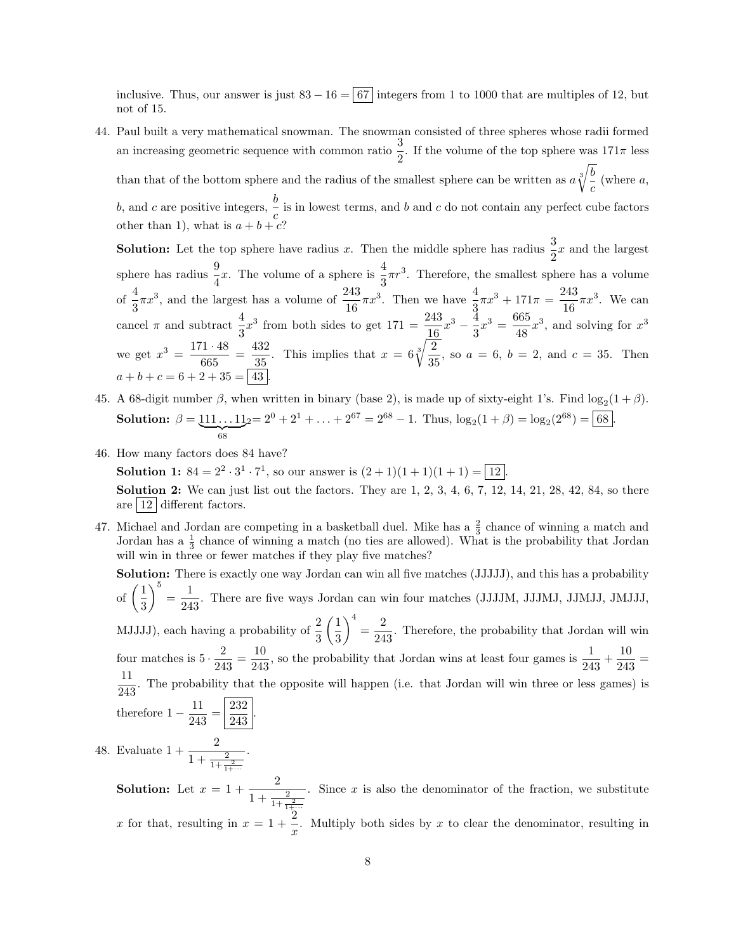inclusive. Thus, our answer is just  $83 - 16 = |67|$  integers from 1 to 1000 that are multiples of 12, but not of 15.

44. Paul built a very mathematical snowman. The snowman consisted of three spheres whose radii formed an increasing geometric sequence with common ratio  $\frac{3}{2}$ . If the volume of the top sphere was  $171\pi$  less than that of the bottom sphere and the radius of the smallest sphere can be written as  $a \sqrt[3]{\frac{b}{n}}$  (where a, c b, and c are positive integers,  $\frac{b}{c}$  $\frac{c}{c}$  is in lowest terms, and b and c do not contain any perfect cube factors other than 1), what is  $a + b + c$ ?

**Solution:** Let the top sphere have radius x. Then the middle sphere has radius  $\frac{3}{2}x$  and the largest sphere has radius  $\frac{9}{4}x$ . The volume of a sphere is  $\frac{4}{3}\pi r^3$ . Therefore, the smallest sphere has a volume of  $\frac{4}{3}\pi x^3$ , and the largest has a volume of  $\frac{243}{16}\pi x^3$ . Then we have  $\frac{4}{3}\pi x^3 + 171\pi = \frac{243}{16}$  $\frac{245}{16}\pi x^3$ . We can cancel  $\pi$  and subtract  $\frac{4}{3}x^3$  from both sides to get  $171 = \frac{243}{16}x^3 - \frac{4}{3}$  $\frac{4}{3}x^3 = \frac{665}{48}$  $\frac{303}{48}x^3$ , and solving for  $x^3$ we get  $x^3 = \frac{171 \cdot 48}{c}$  $\frac{71 \cdot 48}{665} = \frac{432}{35}$  $rac{132}{35}$ . This implies that  $x = 6\sqrt[3]{\frac{2}{35}}$  $\frac{1}{35}$ , so  $a = 6$ ,  $b = 2$ , and  $c = 35$ . Then  $a + b + c = 6 + 2 + 35 = |43|$ 

- 45. A 68-digit number  $\beta$ , when written in binary (base 2), is made up of sixty-eight 1's. Find  $\log_2(1+\beta)$ . **Solution:**  $\beta = 111 \dots 11$  $\overline{68}$  $2 = 2^0 + 2^1 + \ldots + 2^{67} = 2^{68} - 1$ . Thus,  $\log_2(1 + \beta) = \log_2(2^{68}) = 68$ .
- 46. How many factors does 84 have?

**Solution 1:**  $84 = 2^2 \cdot 3^1 \cdot 7^1$ , so our answer is  $(2 + 1)(1 + 1)(1 + 1) = |12|$ . **Solution 2:** We can just list out the factors. They are  $1, 2, 3, 4, 6, 7, 12, 14, 21, 28, 42, 84,$  so there are  $|12|$  different factors.

47. Michael and Jordan are competing in a basketball duel. Mike has a  $\frac{2}{3}$  chance of winning a match and Jordan has a  $\frac{1}{3}$  chance of winning a match (no ties are allowed). What is the probability that Jordan will win in three or fewer matches if they play five matches?

Solution: There is exactly one way Jordan can win all five matches (JJJJJ), and this has a probability of  $\left(\frac{1}{2}\right)$ 3  $\bigg\}^5 = \frac{1}{24}$  $\frac{1}{243}$ . There are five ways Jordan can win four matches (JJJJM, JJJMJ, JJMJJ, JMJJJ, MJJJJ), each having a probability of  $\frac{2}{3}$  $\sqrt{1}$ 3  $\bigg\}^4 = \frac{2}{24}$  $\frac{2}{243}$ . Therefore, the probability that Jordan will win four matches is  $5 \cdot \frac{2}{34}$  $\frac{2}{243} = \frac{10}{243}$  $\frac{10}{243}$ , so the probability that Jordan wins at least four games is  $\frac{1}{243} + \frac{10}{243}$  $rac{16}{243}$  = 11  $\frac{11}{243}$ . The probability that the opposite will happen (i.e. that Jordan will win three or less games) is therefore  $1-\frac{11}{240}$  $rac{11}{243} = \frac{232}{243}$  $\frac{202}{243}$ . .

48. Evaluate  $1 + \frac{2}{1 + \frac{2}{1 + \frac{2}{1 + \dots}}}$  $1+\cdots$ 

> **Solution:** Let  $x = 1 + \frac{2}{1+x^2}$  $1 + \frac{2}{1 + \frac{2}{1 + \dots}}$ . Since  $x$  is also the denominator of the fraction, we substitute x for that, resulting in  $x = 1 + \frac{2}{x}$  $\frac{z}{x}$ . Multiply both sides by x to clear the denominator, resulting in